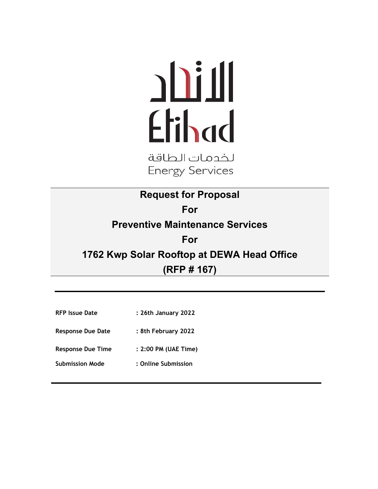# Etihad

لخدمات الطاقة **Energy Services** 

**Request for Proposal For Preventive Maintenance Services For 1762 Kwp Solar Rooftop at DEWA Head Office (RFP # 167)**

- **RFP Issue Date : 26th January 2022**
- **Response Due Date : 8th February 2022**
- **Response Due Time : 2:00 PM (UAE Time)**
- **Submission Mode : Online Submission**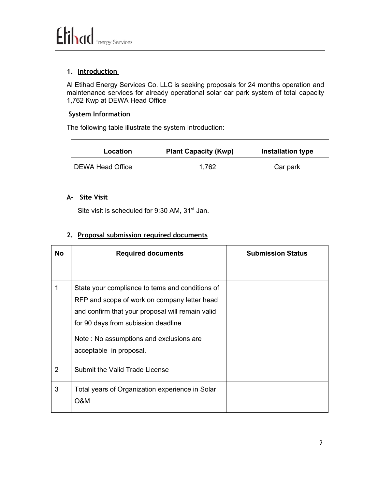#### **1. Introduction**

Al Etihad Energy Services Co. LLC is seeking proposals for 24 months operation and maintenance services for already operational solar car park system of total capacity 1,762 Kwp at DEWA Head Office

#### **System Information**

The following table illustrate the system Introduction:

| Location         | <b>Plant Capacity (Kwp)</b> | <b>Installation type</b> |
|------------------|-----------------------------|--------------------------|
| DEWA Head Office | 1,762                       | Car park                 |

#### **A- Site Visit**

Site visit is scheduled for 9:30 AM, 31<sup>st</sup> Jan.

#### **2. Proposal submission required documents**

| No             | <b>Required documents</b>                                                                                                                                                                                                                                        | <b>Submission Status</b> |
|----------------|------------------------------------------------------------------------------------------------------------------------------------------------------------------------------------------------------------------------------------------------------------------|--------------------------|
|                | State your compliance to tems and conditions of<br>RFP and scope of work on company letter head<br>and confirm that your proposal will remain valid<br>for 90 days from subission deadline<br>Note: No assumptions and exclusions are<br>acceptable in proposal. |                          |
| $\overline{2}$ | Submit the Valid Trade License                                                                                                                                                                                                                                   |                          |
| 3              | Total years of Organization experience in Solar<br><b>O&amp;M</b>                                                                                                                                                                                                |                          |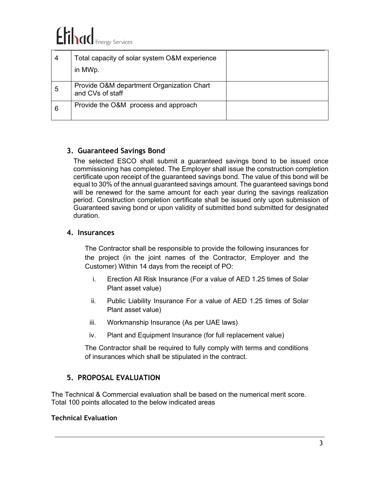# Elihad Energy Services

| 4 | Total capacity of solar system O&M experience<br>in MWp.      |  |
|---|---------------------------------------------------------------|--|
| 5 | Provide O&M department Organization Chart<br>and CVs of staff |  |
| 6 | Provide the O&M process and approach                          |  |

#### **3. Guaranteed Savings Bond**

The selected ESCO shall submit a guaranteed savings bond to be issued once commissioning has completed. The Employer shall issue the construction completion certificate upon receipt of the guaranteed savings bond. The value of this bond will be equal to 30% of the annual guaranteed savings amount. The guaranteed savings bond will be renewed for the same amount for each year during the savings realization period. Construction completion certificate shall be issued only upon submission of Guaranteed saving bond or upon validity of submitted bond submitted for designated duration.

#### **4. Insurances**

The Contractor shall be responsible to provide the following insurances for the project (in the joint names of the Contractor, Employer and the Customer) Within 14 days from the receipt of PO:

- i. Erection All Risk Insurance (For a value of AED 1.25 times of Solar Plant asset value)
- ii. Public Liability Insurance For a value of AED 1.25 times of Solar Plant asset value)
- iii. Workmanship Insurance (As per UAE laws)
- iv. Plant and Equipment Insurance (for full replacement value)

The Contractor shall be required to fully comply with terms and conditions of insurances which shall be stipulated in the contract.

#### **5. PROPOSAL EVALUATION**

The Technical & Commercial evaluation shall be based on the numerical merit score. Total 100 points allocated to the below indicated areas

#### **Technical Evaluation**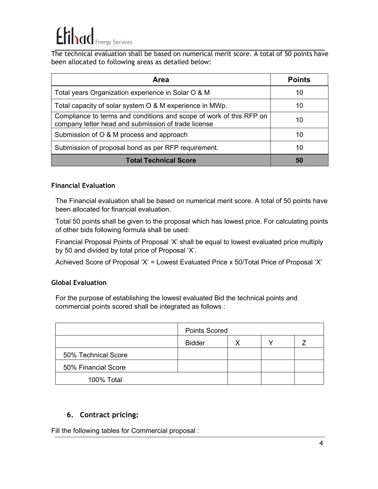## **Frihad Energy Services**

The technical evaluation shall be based on numerical merit score. A total of 50 points have been allocated to following areas as detailed below:

| Area                                                                                                                       | <b>Points</b> |
|----------------------------------------------------------------------------------------------------------------------------|---------------|
| Total years Organization experience in Solar O & M                                                                         | 10            |
| Total capacity of solar system O & M experience in MWp.                                                                    | 10            |
| Compliance to terms and conditions and scope of work of this RFP on<br>company letter head and submission of trade license | 10            |
| Submission of O & M process and approach                                                                                   | 10            |
| Submission of proposal bond as per RFP requirement.                                                                        | 10            |
| <b>Total Technical Score</b>                                                                                               | 50            |

#### **Financial Evaluation**

The Financial evaluation shall be based on numerical merit score. A total of 50 points have been allocated for financial evaluation.

Total 50 points shall be given to the proposal which has lowest price. For calculating points of other bids following formula shall be used:

Financial Proposal Points of Proposal 'X' shall be equal to lowest evaluated price multiply by 50 and divided by total price of Proposal 'X'.

Achieved Score of Proposal 'X' = Lowest Evaluated Price x 50/Total Price of Proposal 'X'

#### **Global Evaluation**

For the purpose of establishing the lowest evaluated Bid the technical points and commercial points scored shall be integrated as follows :

|                     | <b>Points Scored</b> |   |  |
|---------------------|----------------------|---|--|
|                     | <b>Bidder</b>        | x |  |
| 50% Technical Score |                      |   |  |
| 50% Financial Score |                      |   |  |
| 100% Total          |                      |   |  |

#### **6. Contract pricing:**

Fill the following tables for Commercial proposal :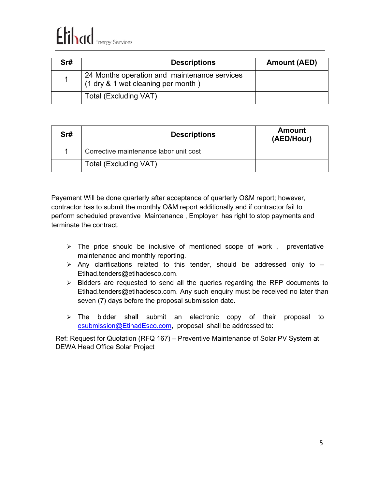# Elihad Energy Services

| Srt | <b>Descriptions</b>                                                                | Amount (AED) |
|-----|------------------------------------------------------------------------------------|--------------|
|     | 24 Months operation and maintenance services<br>(1 dry & 1 wet cleaning per month) |              |
|     | Total (Excluding VAT)                                                              |              |

| Sr# | <b>Descriptions</b>                    | <b>Amount</b><br>(AED/Hour) |
|-----|----------------------------------------|-----------------------------|
|     | Corrective maintenance labor unit cost |                             |
|     | <b>Total (Excluding VAT)</b>           |                             |

Payement Will be done quarterly after acceptance of quarterly O&M report; however, contractor has to submit the monthly O&M report additionally and if contractor fail to perform scheduled preventive Maintenance , Employer has right to stop payments and terminate the contract.

- $\triangleright$  The price should be inclusive of mentioned scope of work, preventative maintenance and monthly reporting.
- $\triangleright$  Any clarifications related to this tender, should be addressed only to  $-$ [Etihad.tenders@etihadesco.com.](mailto:Etihad.tenders@etihadesco.com)
- $\triangleright$  Bidders are requested to send all the queries regarding the RFP documents to [Etihad.tenders@etihadesco.com.](mailto:Etihad.tenders@etihadesco.com) Any such enquiry must be received no later than seven (7) days before the proposal submission date.
- $\triangleright$  The bidder shall submit an electronic copy of their proposal to [esubmission@EtihadEsco.com,](mailto:esubmission@EtihadEsco.com) proposal shall be addressed to:

Ref: Request for Quotation (RFQ 167) – Preventive Maintenance of Solar PV System at DEWA Head Office Solar Project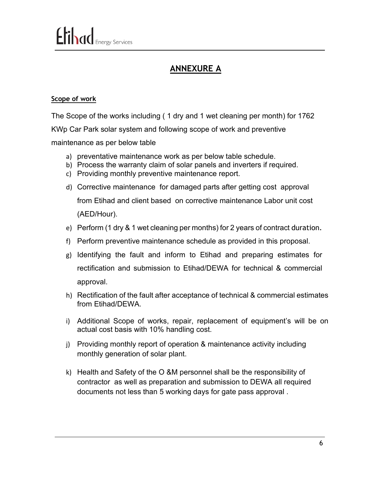### **ANNEXURE A**

#### **Scope of work**

The Scope of the works including ( 1 dry and 1 wet cleaning per month) for 1762

KWp Car Park solar system and following scope of work and preventive

maintenance as per below table

- a) preventative maintenance work as per below table schedule.
- b) Process the warranty claim of solar panels and inverters if required.
- c) Providing monthly preventive maintenance report.
- d) Corrective maintenance for damaged parts after getting cost approval from Etihad and client based on corrective maintenance Labor unit cost (AED/Hour).
- e) Perform (1 dry & 1 wet cleaning per months) for 2 years of contract duration.
- f) Perform preventive maintenance schedule as provided in this proposal.
- g) Identifying the fault and inform to Etihad and preparing estimates for rectification and submission to Etihad/DEWA for technical & commercial approval.
- h) Rectification of the fault after acceptance of technical & commercial estimates from Etihad/DEWA.
- i) Additional Scope of works, repair, replacement of equipment's will be on actual cost basis with 10% handling cost.
- j) Providing monthly report of operation & maintenance activity including monthly generation of solar plant.
- k) Health and Safety of the O &M personnel shall be the responsibility of contractor as well as preparation and submission to DEWA all required documents not less than 5 working days for gate pass approval .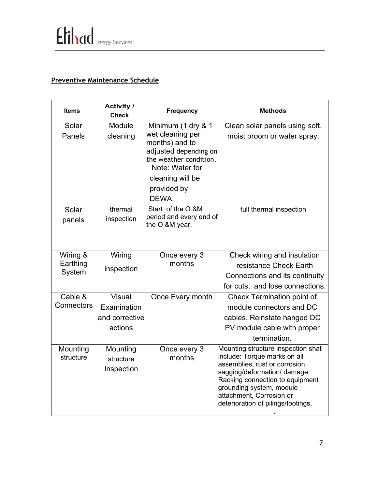### **Preventive Maintenance Schedule**

| <b>Items</b>          | <b>Activity /</b><br><b>Check</b>   | <b>Frequency</b>                                                                                                                                                           | <b>Methods</b>                                                                                                                                                                                                                                                         |
|-----------------------|-------------------------------------|----------------------------------------------------------------------------------------------------------------------------------------------------------------------------|------------------------------------------------------------------------------------------------------------------------------------------------------------------------------------------------------------------------------------------------------------------------|
| Solar<br>Panels       | Module<br>cleaning                  | Minimum (1 dry & 1<br>wet cleaning per<br>months) and to<br>adjusted depending on<br>the weather condition.<br>Note: Water for<br>cleaning will be<br>provided by<br>DEWA. | Clean solar panels using soft,<br>moist broom or water spray.                                                                                                                                                                                                          |
| Solar<br>panels       | thermal<br>inspection               | Start of the O &M<br>period and every end of<br>the O &M year.                                                                                                             | full thermal inspection                                                                                                                                                                                                                                                |
| Wiring &              | Wiring                              | Once every 3                                                                                                                                                               | Check wiring and insulation                                                                                                                                                                                                                                            |
| Earthing              | inspection                          | months                                                                                                                                                                     | resistance Check Earth                                                                                                                                                                                                                                                 |
| System                |                                     |                                                                                                                                                                            | Connections and its continuity                                                                                                                                                                                                                                         |
|                       |                                     |                                                                                                                                                                            | for cuts, and lose connections.                                                                                                                                                                                                                                        |
| Cable &               | Visual                              | Once Every month                                                                                                                                                           | <b>Check Termination point of</b>                                                                                                                                                                                                                                      |
| Connectors            | Examination                         |                                                                                                                                                                            | module connectors and DC                                                                                                                                                                                                                                               |
|                       | and corrective                      |                                                                                                                                                                            | cables. Reinstate hanged DC                                                                                                                                                                                                                                            |
|                       | actions                             |                                                                                                                                                                            | PV module cable with proper                                                                                                                                                                                                                                            |
|                       |                                     |                                                                                                                                                                            | termination.                                                                                                                                                                                                                                                           |
| Mounting<br>structure | Mounting<br>structure<br>Inspection | Once every 3<br>months                                                                                                                                                     | Mounting structure inspection shall<br>include: Torque marks on all<br>assemblies, rust or corrosion,<br>sagging/deformation/ damage,<br>Racking connection to equipment<br>grounding system, module<br>attachment, Corrosion or<br>deterioration of pilings/footings. |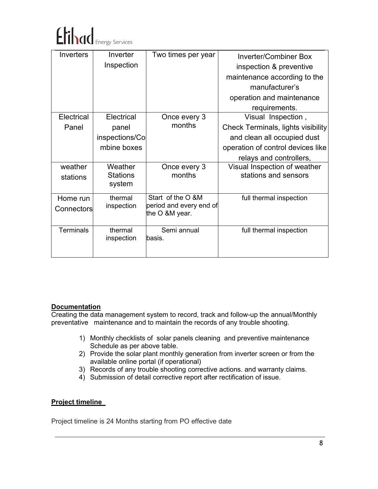

| Inverters        | Inverter        | Two times per year      | <b>Inverter/Combiner Box</b>              |
|------------------|-----------------|-------------------------|-------------------------------------------|
|                  | Inspection      |                         | inspection & preventive                   |
|                  |                 |                         | maintenance according to the              |
|                  |                 |                         | manufacturer's                            |
|                  |                 |                         | operation and maintenance                 |
|                  |                 |                         | requirements.                             |
| Electrical       | Electrical      | Once every 3            | Visual Inspection,                        |
| Panel            | panel           | months                  | <b>Check Terminals, lights visibility</b> |
|                  | inspections/Co  |                         | and clean all occupied dust               |
|                  | mbine boxes     |                         | operation of control devices like         |
|                  |                 |                         | relays and controllers,                   |
| weather          | Weather         | Once every 3            | Visual Inspection of weather              |
| stations         | <b>Stations</b> | months                  | stations and sensors                      |
|                  | system          |                         |                                           |
| Home run         | thermal         | Start of the O &M       | full thermal inspection                   |
| Connectors       | inspection      | period and every end of |                                           |
|                  |                 | the O &M year.          |                                           |
| <b>Terminals</b> | thermal         | Semi annual             | full thermal inspection                   |
|                  | inspection      | basis.                  |                                           |
|                  |                 |                         |                                           |

#### **Documentation**

Creating the data management system to record, track and follow-up the annual/Monthly preventative maintenance and to maintain the records of any trouble shooting.

- 1) Monthly checklists of solar panels cleaning and preventive maintenance Schedule as per above table.
- 2) Provide the solar plant monthly generation from inverter screen or from the available online portal (if operational)
- 3) Records of any trouble shooting corrective actions. and warranty claims.
- 4) Submission of detail corrective report after rectification of issue.

#### **Project timeline**

Project timeline is 24 Months starting from PO effective date